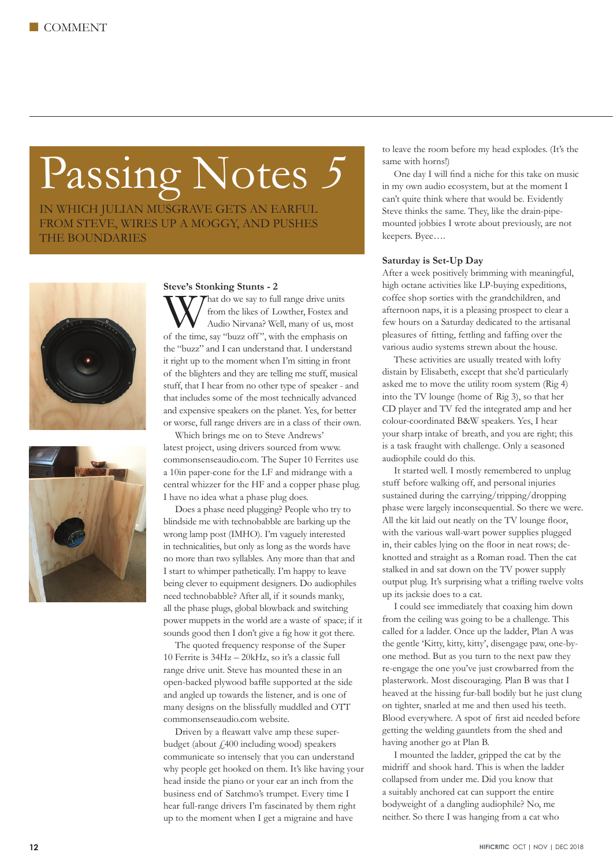# Passing Notes *5*

IN WHICH JULIAN MUSGRAVE GETS AN EARFUL FROM STEVE, WIRES UP A MOGGY, AND PUSHES THE BOUNDARIES





### **Steve's Stonking Stunts - 2**

What do we say to full range drive units<br>
Mat do we say to full range drive units<br>
Audio Nirvana? Well, many of us, mo from the likes of Lowther, Fostex and Audio Nirvana? Well, many of us, most of the time, say "buzz off ", with the emphasis on the "buzz" and I can understand that. I understand it right up to the moment when I'm sitting in front of the blighters and they are telling me stuff, musical stuff, that I hear from no other type of speaker - and that includes some of the most technically advanced and expensive speakers on the planet. Yes, for better or worse, full range drivers are in a class of their own.

Which brings me on to Steve Andrews' latest project, using drivers sourced from www. commonsenseaudio.com. The Super 10 Ferrites use a 10in paper-cone for the LF and midrange with a central whizzer for the HF and a copper phase plug. I have no idea what a phase plug does.

Does a phase need plugging? People who try to blindside me with technobabble are barking up the wrong lamp post (IMHO). I'm vaguely interested in technicalities, but only as long as the words have no more than two syllables. Any more than that and I start to whimper pathetically. I'm happy to leave being clever to equipment designers. Do audiophiles need technobabble? After all, if it sounds manky, all the phase plugs, global blowback and switching power muppets in the world are a waste of space; if it sounds good then I don't give a fig how it got there.

The quoted frequency response of the Super 10 Ferrite is 34Hz – 20kHz, so it's a classic full range drive unit. Steve has mounted these in an open-backed plywood baffle supported at the side and angled up towards the listener, and is one of many designs on the blissfully muddled and OTT commonsenseaudio.com website.

Driven by a fleawatt valve amp these superbudget (about  $f<sub>1</sub>400$  including wood) speakers communicate so intensely that you can understand why people get hooked on them. It's like having your head inside the piano or your ear an inch from the business end of Satchmo's trumpet. Every time I hear full-range drivers I'm fascinated by them right up to the moment when I get a migraine and have

to leave the room before my head explodes. (It's the same with horns!)

One day I will find a niche for this take on music in my own audio ecosystem, but at the moment I can't quite think where that would be. Evidently Steve thinks the same. They, like the drain-pipemounted jobbies I wrote about previously, are not keepers. Byee….

#### **Saturday is Set-Up Day**

After a week positively brimming with meaningful, high octane activities like LP-buying expeditions, coffee shop sorties with the grandchildren, and afternoon naps, it is a pleasing prospect to clear a few hours on a Saturday dedicated to the artisanal pleasures of fitting, fettling and faffing over the various audio systems strewn about the house.

These activities are usually treated with lofty distain by Elisabeth, except that she'd particularly asked me to move the utility room system (Rig 4) into the TV lounge (home of Rig 3), so that her CD player and TV fed the integrated amp and her colour-coordinated B&W speakers. Yes, I hear your sharp intake of breath, and you are right; this is a task fraught with challenge. Only a seasoned audiophile could do this.

It started well. I mostly remembered to unplug stuff before walking off, and personal injuries sustained during the carrying/tripping/dropping phase were largely inconsequential. So there we were. All the kit laid out neatly on the TV lounge floor, with the various wall-wart power supplies plugged in, their cables lying on the floor in neat rows; deknotted and straight as a Roman road. Then the cat stalked in and sat down on the TV power supply output plug. It's surprising what a trifling twelve volts up its jacksie does to a cat.

I could see immediately that coaxing him down from the ceiling was going to be a challenge. This called for a ladder. Once up the ladder, Plan A was the gentle 'Kitty, kitty, kitty', disengage paw, one-byone method. But as you turn to the next paw they re-engage the one you've just crowbarred from the plasterwork. Most discouraging. Plan B was that I heaved at the hissing fur-ball bodily but he just clung on tighter, snarled at me and then used his teeth. Blood everywhere. A spot of first aid needed before getting the welding gauntlets from the shed and having another go at Plan B.

I mounted the ladder, gripped the cat by the midriff and shook hard. This is when the ladder collapsed from under me. Did you know that a suitably anchored cat can support the entire bodyweight of a dangling audiophile? No, me neither. So there I was hanging from a cat who